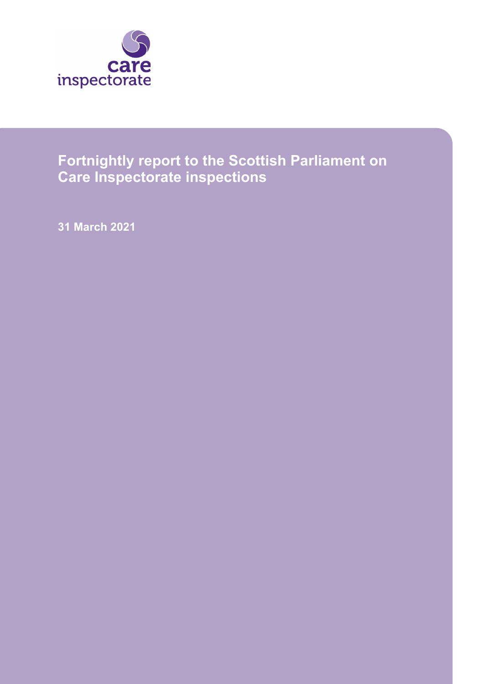

# **Fortnightly report to the Scottish Parliament on Care Inspectorate inspections**

**31 March 2021**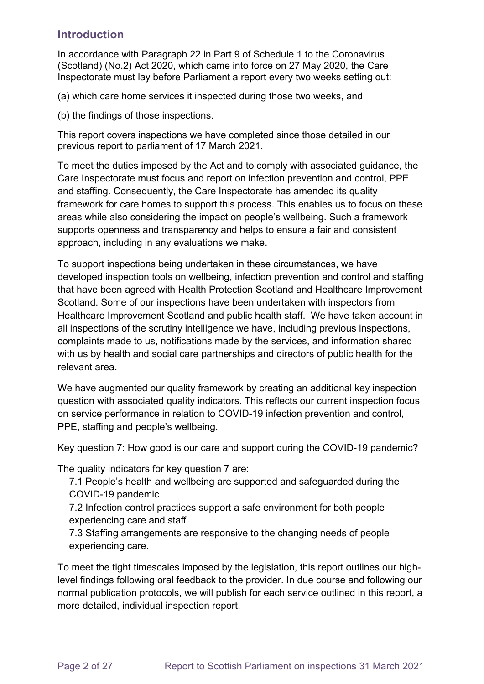### **Introduction**

In accordance with Paragraph 22 in Part 9 of Schedule 1 to the Coronavirus (Scotland) (No.2) Act 2020, which came into force on 27 May 2020, the Care Inspectorate must lay before Parliament a report every two weeks setting out:

(a) which care home services it inspected during those two weeks, and

(b) the findings of those inspections.

This report covers inspections we have completed since those detailed in our previous report to parliament of 17 March 2021.

To meet the duties imposed by the Act and to comply with associated guidance, the Care Inspectorate must focus and report on infection prevention and control, PPE and staffing. Consequently, the Care Inspectorate has amended its quality framework for care homes to support this process. This enables us to focus on these areas while also considering the impact on people's wellbeing. Such a framework supports openness and transparency and helps to ensure a fair and consistent approach, including in any evaluations we make.

To support inspections being undertaken in these circumstances, we have developed inspection tools on wellbeing, infection prevention and control and staffing that have been agreed with Health Protection Scotland and Healthcare Improvement Scotland. Some of our inspections have been undertaken with inspectors from Healthcare Improvement Scotland and public health staff. We have taken account in all inspections of the scrutiny intelligence we have, including previous inspections, complaints made to us, notifications made by the services, and information shared with us by health and social care partnerships and directors of public health for the relevant area.

We have augmented our quality framework by creating an additional key inspection question with associated quality indicators. This reflects our current inspection focus on service performance in relation to COVID-19 infection prevention and control, PPE, staffing and people's wellbeing.

Key question 7: How good is our care and support during the COVID-19 pandemic?

The quality indicators for key question 7 are:

- 7.1 People's health and wellbeing are supported and safeguarded during the COVID-19 pandemic
- 7.2 Infection control practices support a safe environment for both people experiencing care and staff
- 7.3 Staffing arrangements are responsive to the changing needs of people experiencing care.

To meet the tight timescales imposed by the legislation, this report outlines our highlevel findings following oral feedback to the provider. In due course and following our normal publication protocols, we will publish for each service outlined in this report, a more detailed, individual inspection report.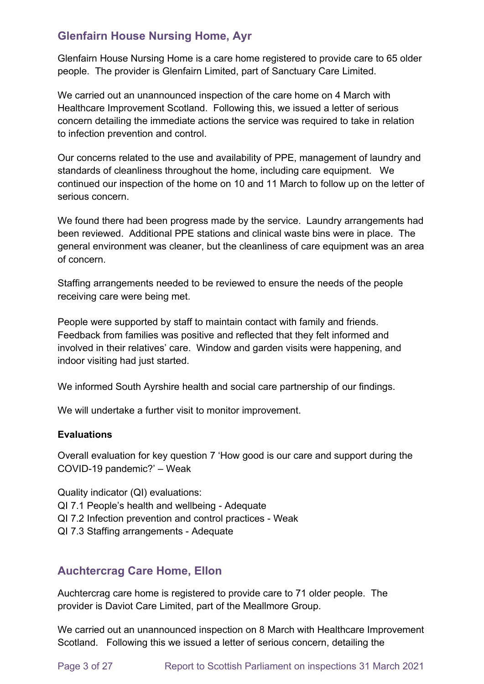# **Glenfairn House Nursing Home, Ayr**

Glenfairn House Nursing Home is a care home registered to provide care to 65 older people. The provider is Glenfairn Limited, part of Sanctuary Care Limited.

We carried out an unannounced inspection of the care home on 4 March with Healthcare Improvement Scotland. Following this, we issued a letter of serious concern detailing the immediate actions the service was required to take in relation to infection prevention and control.

Our concerns related to the use and availability of PPE, management of laundry and standards of cleanliness throughout the home, including care equipment. We continued our inspection of the home on 10 and 11 March to follow up on the letter of serious concern.

We found there had been progress made by the service. Laundry arrangements had been reviewed. Additional PPE stations and clinical waste bins were in place. The general environment was cleaner, but the cleanliness of care equipment was an area of concern.

Staffing arrangements needed to be reviewed to ensure the needs of the people receiving care were being met.

People were supported by staff to maintain contact with family and friends. Feedback from families was positive and reflected that they felt informed and involved in their relatives' care. Window and garden visits were happening, and indoor visiting had just started.

We informed South Ayrshire health and social care partnership of our findings.

We will undertake a further visit to monitor improvement.

#### **Evaluations**

Overall evaluation for key question 7 'How good is our care and support during the COVID-19 pandemic?' – Weak

Quality indicator (QI) evaluations:

- QI 7.1 People's health and wellbeing Adequate
- QI 7.2 Infection prevention and control practices Weak
- QI 7.3 Staffing arrangements Adequate

### **Auchtercrag Care Home, Ellon**

Auchtercrag care home is registered to provide care to 71 older people. The provider is Daviot Care Limited, part of the Meallmore Group.

We carried out an unannounced inspection on 8 March with Healthcare Improvement Scotland. Following this we issued a letter of serious concern, detailing the

Page 3 of 27 Report to Scottish Parliament on inspections 31 March 2021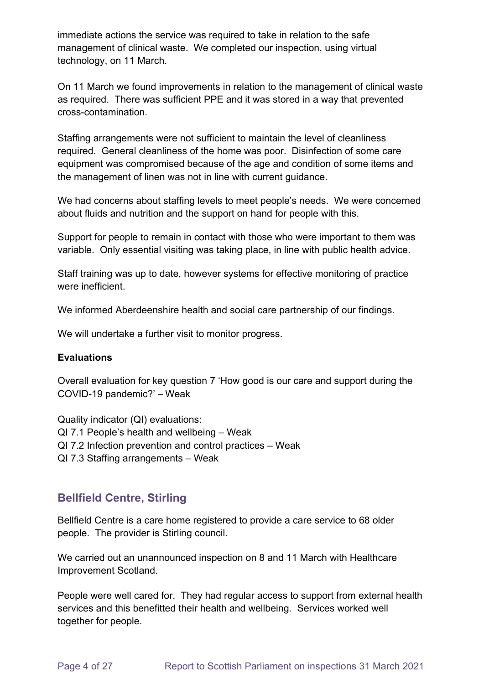immediate actions the service was required to take in relation to the safe management of clinical waste. We completed our inspection, using virtual technology, on 11 March.

On 11 March we found improvements in relation to the management of clinical waste as required. There was sufficient PPE and it was stored in a way that prevented cross-contamination.

Staffing arrangements were not sufficient to maintain the level of cleanliness required. General cleanliness of the home was poor. Disinfection of some care equipment was compromised because of the age and condition of some items and the management of linen was not in line with current guidance.

We had concerns about staffing levels to meet people's needs. We were concerned about fluids and nutrition and the support on hand for people with this.

Support for people to remain in contact with those who were important to them was variable. Only essential visiting was taking place, in line with public health advice.

Staff training was up to date, however systems for effective monitoring of practice were inefficient.

We informed Aberdeenshire health and social care partnership of our findings.

We will undertake a further visit to monitor progress.

#### **Evaluations**

Overall evaluation for key question 7 'How good is our care and support during the COVID-19 pandemic?' – Weak

Quality indicator (QI) evaluations: QI 7.1 People's health and wellbeing – Weak QI 7.2 Infection prevention and control practices – Weak QI 7.3 Staffing arrangements – Weak

# **Bellfield Centre, Stirling**

Bellfield Centre is a care home registered to provide a care service to 68 older people. The provider is Stirling council.

We carried out an unannounced inspection on 8 and 11 March with Healthcare Improvement Scotland.

People were well cared for. They had regular access to support from external health services and this benefitted their health and wellbeing. Services worked well together for people.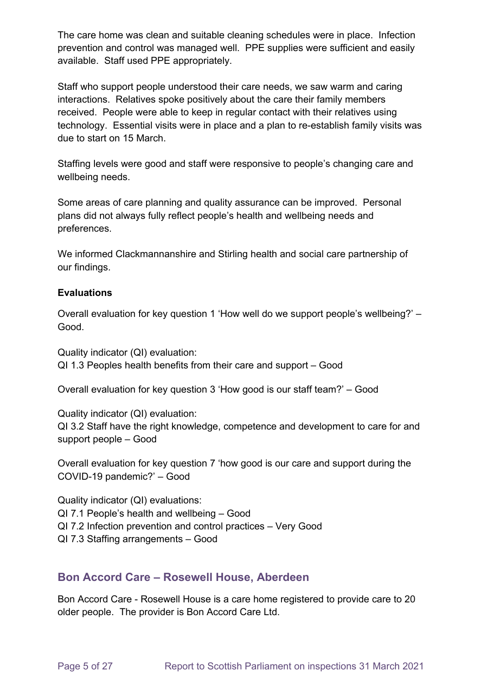The care home was clean and suitable cleaning schedules were in place. Infection prevention and control was managed well. PPE supplies were sufficient and easily available. Staff used PPE appropriately.

Staff who support people understood their care needs, we saw warm and caring interactions. Relatives spoke positively about the care their family members received. People were able to keep in regular contact with their relatives using technology. Essential visits were in place and a plan to re-establish family visits was due to start on 15 March.

Staffing levels were good and staff were responsive to people's changing care and wellbeing needs.

Some areas of care planning and quality assurance can be improved. Personal plans did not always fully reflect people's health and wellbeing needs and preferences.

We informed Clackmannanshire and Stirling health and social care partnership of our findings.

#### **Evaluations**

Overall evaluation for key question 1 'How well do we support people's wellbeing?' – Good.

Quality indicator (QI) evaluation: QI 1.3 Peoples health benefits from their care and support – Good

Overall evaluation for key question 3 'How good is our staff team?' – Good

Quality indicator (QI) evaluation: QI 3.2 Staff have the right knowledge, competence and development to care for and support people – Good

Overall evaluation for key question 7 'how good is our care and support during the COVID-19 pandemic?' – Good

Quality indicator (QI) evaluations: QI 7.1 People's health and wellbeing – Good QI 7.2 Infection prevention and control practices – Very Good QI 7.3 Staffing arrangements – Good

### **Bon Accord Care – Rosewell House, Aberdeen**

Bon Accord Care - Rosewell House is a care home registered to provide care to 20 older people. The provider is Bon Accord Care Ltd.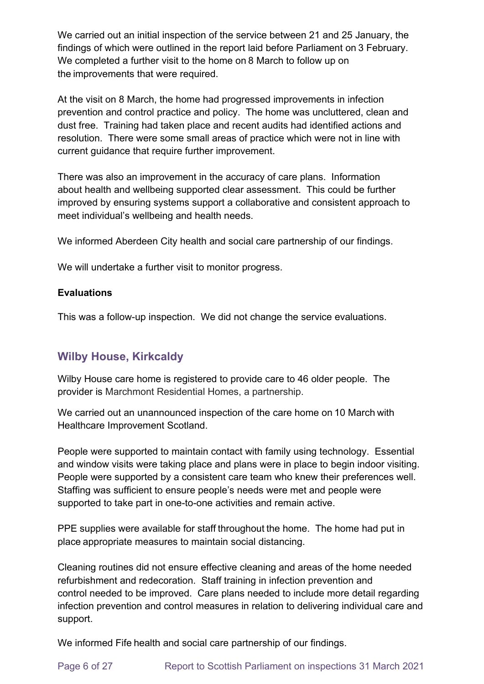We carried out an initial inspection of the service between 21 and 25 January, the findings of which were outlined in the report laid before Parliament on 3 February. We completed a further visit to the home on 8 March to follow up on the improvements that were required.

At the visit on 8 March, the home had progressed improvements in infection prevention and control practice and policy. The home was uncluttered, clean and dust free. Training had taken place and recent audits had identified actions and resolution. There were some small areas of practice which were not in line with current guidance that require further improvement.

There was also an improvement in the accuracy of care plans. Information about health and wellbeing supported clear assessment. This could be further improved by ensuring systems support a collaborative and consistent approach to meet individual's wellbeing and health needs.

We informed Aberdeen City health and social care partnership of our findings.

We will undertake a further visit to monitor progress.

#### **Evaluations**

This was a follow-up inspection. We did not change the service evaluations.

### **Wilby House, Kirkcaldy**

Wilby House care home is registered to provide care to 46 older people. The provider is Marchmont Residential Homes, a partnership.

We carried out an unannounced inspection of the care home on 10 March with Healthcare Improvement Scotland.

People were supported to maintain contact with family using technology. Essential and window visits were taking place and plans were in place to begin indoor visiting. People were supported by a consistent care team who knew their preferences well. Staffing was sufficient to ensure people's needs were met and people were supported to take part in one-to-one activities and remain active.

PPE supplies were available for staff throughout the home. The home had put in place appropriate measures to maintain social distancing.

Cleaning routines did not ensure effective cleaning and areas of the home needed refurbishment and redecoration. Staff training in infection prevention and control needed to be improved. Care plans needed to include more detail regarding infection prevention and control measures in relation to delivering individual care and support.

We informed Fife health and social care partnership of our findings.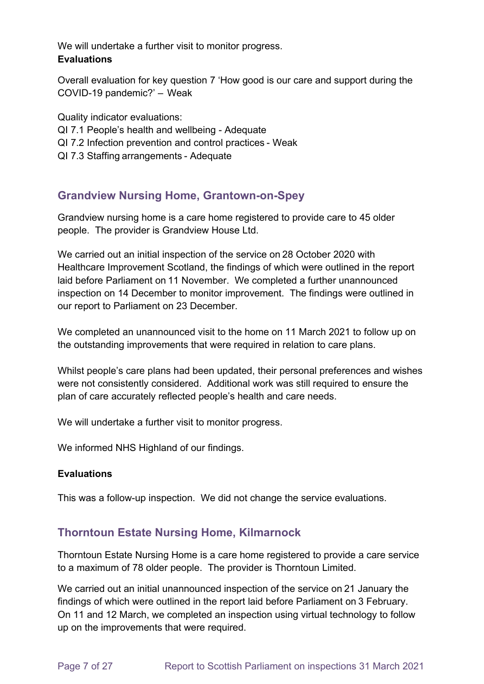We will undertake a further visit to monitor progress. **Evaluations**

Overall evaluation for key question 7 'How good is our care and support during the COVID-19 pandemic?' –  Weak

Quality indicator evaluations: QI 7.1 People's health and wellbeing - Adequate QI 7.2 Infection prevention and control practices - Weak

QI 7.3 Staffing arrangements - Adequate

# **Grandview Nursing Home, Grantown-on-Spey**

Grandview nursing home is a care home registered to provide care to 45 older people. The provider is Grandview House Ltd.

We carried out an initial inspection of the service on 28 October 2020 with Healthcare Improvement Scotland, the findings of which were outlined in the report laid before Parliament on 11 November. We completed a further unannounced inspection on 14 December to monitor improvement. The findings were outlined in our report to Parliament on 23 December.

We completed an unannounced visit to the home on 11 March 2021 to follow up on the outstanding improvements that were required in relation to care plans.

Whilst people's care plans had been updated, their personal preferences and wishes were not consistently considered. Additional work was still required to ensure the plan of care accurately reflected people's health and care needs.

We will undertake a further visit to monitor progress.

We informed NHS Highland of our findings.

### **Evaluations**

This was a follow-up inspection. We did not change the service evaluations.

# **Thorntoun Estate Nursing Home, Kilmarnock**

Thorntoun Estate Nursing Home is a care home registered to provide a care service to a maximum of 78 older people. The provider is Thorntoun Limited.

We carried out an initial unannounced inspection of the service on 21 January the findings of which were outlined in the report laid before Parliament on 3 February. On 11 and 12 March, we completed an inspection using virtual technology to follow up on the improvements that were required.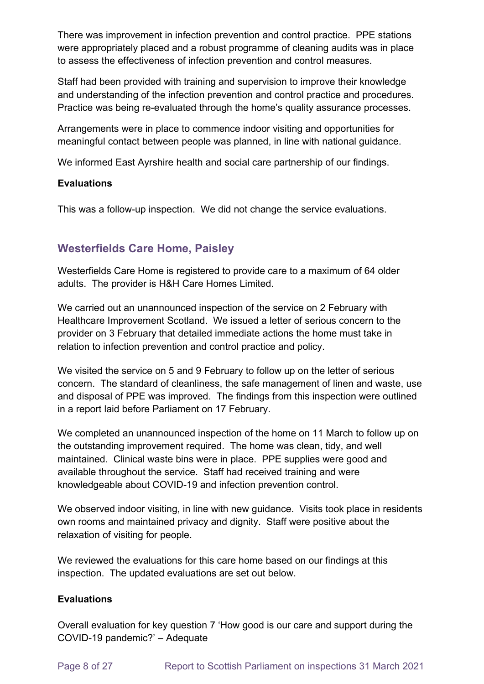There was improvement in infection prevention and control practice. PPE stations were appropriately placed and a robust programme of cleaning audits was in place to assess the effectiveness of infection prevention and control measures.

Staff had been provided with training and supervision to improve their knowledge and understanding of the infection prevention and control practice and procedures. Practice was being re-evaluated through the home's quality assurance processes.

Arrangements were in place to commence indoor visiting and opportunities for meaningful contact between people was planned, in line with national guidance.

We informed East Ayrshire health and social care partnership of our findings.

#### **Evaluations**

This was a follow-up inspection. We did not change the service evaluations.

# **Westerfields Care Home, Paisley**

Westerfields Care Home is registered to provide care to a maximum of 64 older adults. The provider is H&H Care Homes Limited.

We carried out an unannounced inspection of the service on 2 February with Healthcare Improvement Scotland. We issued a letter of serious concern to the provider on 3 February that detailed immediate actions the home must take in relation to infection prevention and control practice and policy.

We visited the service on 5 and 9 February to follow up on the letter of serious concern. The standard of cleanliness, the safe management of linen and waste, use and disposal of PPE was improved. The findings from this inspection were outlined in a report laid before Parliament on 17 February.

We completed an unannounced inspection of the home on 11 March to follow up on the outstanding improvement required. The home was clean, tidy, and well maintained. Clinical waste bins were in place. PPE supplies were good and available throughout the service. Staff had received training and were knowledgeable about COVID-19 and infection prevention control.

We observed indoor visiting, in line with new guidance. Visits took place in residents own rooms and maintained privacy and dignity. Staff were positive about the relaxation of visiting for people.

We reviewed the evaluations for this care home based on our findings at this inspection. The updated evaluations are set out below.

### **Evaluations**

Overall evaluation for key question 7 'How good is our care and support during the COVID-19 pandemic?' – Adequate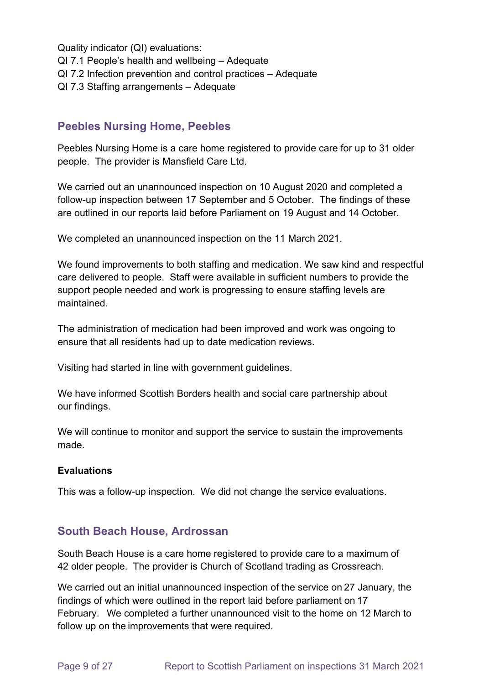Quality indicator (QI) evaluations:

- QI 7.1 People's health and wellbeing Adequate
- QI 7.2 Infection prevention and control practices Adequate
- QI 7.3 Staffing arrangements Adequate

### **Peebles Nursing Home, Peebles**

Peebles Nursing Home is a care home registered to provide care for up to 31 older people. The provider is Mansfield Care Ltd.

We carried out an unannounced inspection on 10 August 2020 and completed a follow-up inspection between 17 September and 5 October. The findings of these are outlined in our reports laid before Parliament on 19 August and 14 October.

We completed an unannounced inspection on the 11 March 2021.

We found improvements to both staffing and medication. We saw kind and respectful care delivered to people. Staff were available in sufficient numbers to provide the support people needed and work is progressing to ensure staffing levels are maintained.

The administration of medication had been improved and work was ongoing to ensure that all residents had up to date medication reviews.

Visiting had started in line with government guidelines.

We have informed Scottish Borders health and social care partnership about our findings.

We will continue to monitor and support the service to sustain the improvements made.

#### **Evaluations**

This was a follow-up inspection. We did not change the service evaluations.

### **South Beach House, Ardrossan**

South Beach House is a care home registered to provide care to a maximum of 42 older people. The provider is Church of Scotland trading as Crossreach.

We carried out an initial unannounced inspection of the service on 27 January, the findings of which were outlined in the report laid before parliament on 17 February.  We completed a further unannounced visit to the home on 12 March to follow up on the improvements that were required.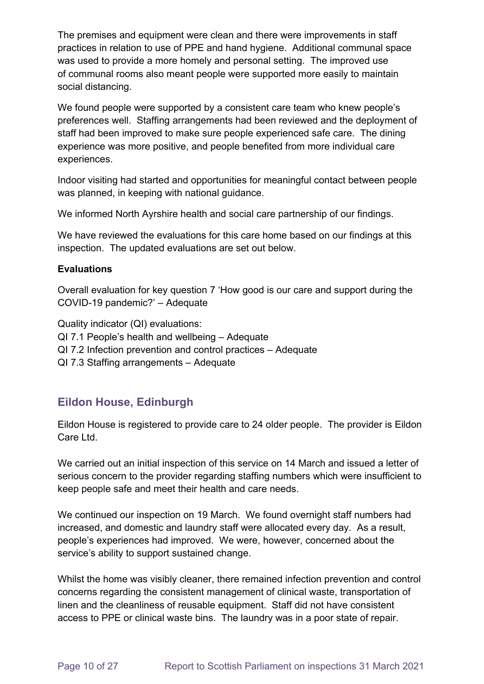The premises and equipment were clean and there were improvements in staff practices in relation to use of PPE and hand hygiene. Additional communal space was used to provide a more homely and personal setting. The improved use of communal rooms also meant people were supported more easily to maintain social distancing.

We found people were supported by a consistent care team who knew people's preferences well. Staffing arrangements had been reviewed and the deployment of staff had been improved to make sure people experienced safe care. The dining experience was more positive, and people benefited from more individual care experiences.

Indoor visiting had started and opportunities for meaningful contact between people was planned, in keeping with national guidance.

We informed North Ayrshire health and social care partnership of our findings.

We have reviewed the evaluations for this care home based on our findings at this inspection. The updated evaluations are set out below.

#### **Evaluations**

Overall evaluation for key question 7 'How good is our care and support during the COVID-19 pandemic?' – Adequate

Quality indicator (QI) evaluations:

- QI 7.1 People's health and wellbeing Adequate
- QI 7.2 Infection prevention and control practices Adequate
- QI 7.3 Staffing arrangements Adequate

### **Eildon House, Edinburgh**

Eildon House is registered to provide care to 24 older people. The provider is Eildon Care Ltd.

We carried out an initial inspection of this service on 14 March and issued a letter of serious concern to the provider regarding staffing numbers which were insufficient to keep people safe and meet their health and care needs.

We continued our inspection on 19 March. We found overnight staff numbers had increased, and domestic and laundry staff were allocated every day. As a result, people's experiences had improved. We were, however, concerned about the service's ability to support sustained change.

Whilst the home was visibly cleaner, there remained infection prevention and control concerns regarding the consistent management of clinical waste, transportation of linen and the cleanliness of reusable equipment. Staff did not have consistent access to PPE or clinical waste bins. The laundry was in a poor state of repair.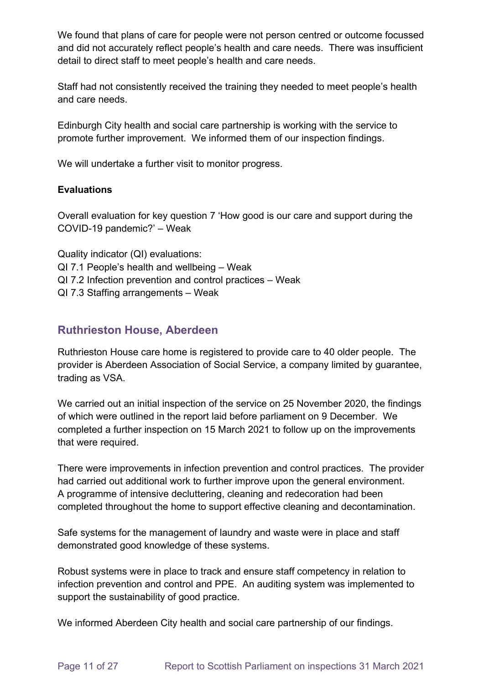We found that plans of care for people were not person centred or outcome focussed and did not accurately reflect people's health and care needs. There was insufficient detail to direct staff to meet people's health and care needs.

Staff had not consistently received the training they needed to meet people's health and care needs.

Edinburgh City health and social care partnership is working with the service to promote further improvement. We informed them of our inspection findings.

We will undertake a further visit to monitor progress.

#### **Evaluations**

Overall evaluation for key question 7 'How good is our care and support during the COVID-19 pandemic?' – Weak

Quality indicator (QI) evaluations: QI 7.1 People's health and wellbeing – Weak QI 7.2 Infection prevention and control practices – Weak QI 7.3 Staffing arrangements – Weak

### **Ruthrieston House, Aberdeen**

Ruthrieston House care home is registered to provide care to 40 older people. The provider is Aberdeen Association of Social Service, a company limited by guarantee, trading as VSA.

We carried out an initial inspection of the service on 25 November 2020, the findings of which were outlined in the report laid before parliament on 9 December. We completed a further inspection on 15 March 2021 to follow up on the improvements that were required.

There were improvements in infection prevention and control practices. The provider had carried out additional work to further improve upon the general environment. A programme of intensive decluttering, cleaning and redecoration had been completed throughout the home to support effective cleaning and decontamination.

Safe systems for the management of laundry and waste were in place and staff demonstrated good knowledge of these systems.

Robust systems were in place to track and ensure staff competency in relation to infection prevention and control and PPE. An auditing system was implemented to support the sustainability of good practice.

We informed Aberdeen City health and social care partnership of our findings.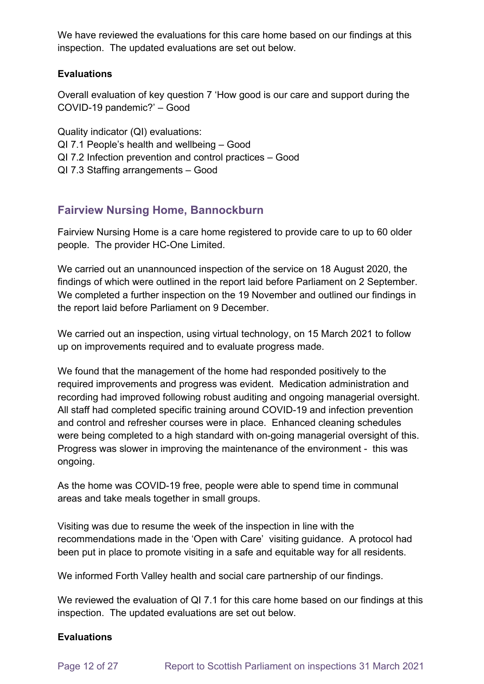We have reviewed the evaluations for this care home based on our findings at this inspection. The updated evaluations are set out below.

#### **Evaluations**

Overall evaluation of key question 7 'How good is our care and support during the COVID-19 pandemic?' – Good

Quality indicator (QI) evaluations: QI 7.1 People's health and wellbeing – Good QI 7.2 Infection prevention and control practices – Good QI 7.3 Staffing arrangements – Good

# **Fairview Nursing Home, Bannockburn**

Fairview Nursing Home is a care home registered to provide care to up to 60 older people. The provider HC-One Limited.

We carried out an unannounced inspection of the service on 18 August 2020, the findings of which were outlined in the report laid before Parliament on 2 September. We completed a further inspection on the 19 November and outlined our findings in the report laid before Parliament on 9 December.

We carried out an inspection, using virtual technology, on 15 March 2021 to follow up on improvements required and to evaluate progress made.

We found that the management of the home had responded positively to the required improvements and progress was evident. Medication administration and recording had improved following robust auditing and ongoing managerial oversight. All staff had completed specific training around COVID-19 and infection prevention and control and refresher courses were in place. Enhanced cleaning schedules were being completed to a high standard with on-going managerial oversight of this. Progress was slower in improving the maintenance of the environment - this was ongoing.

As the home was COVID-19 free, people were able to spend time in communal areas and take meals together in small groups.

Visiting was due to resume the week of the inspection in line with the recommendations made in the 'Open with Care' visiting guidance. A protocol had been put in place to promote visiting in a safe and equitable way for all residents.

We informed Forth Valley health and social care partnership of our findings.

We reviewed the evaluation of QI 7.1 for this care home based on our findings at this inspection. The updated evaluations are set out below.

#### **Evaluations**

Page 12 of 27 Report to Scottish Parliament on inspections 31 March 2021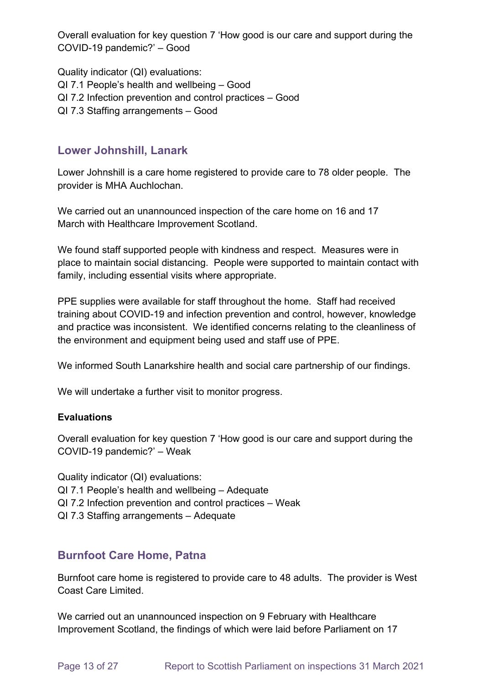Overall evaluation for key question 7 'How good is our care and support during the COVID-19 pandemic?' – Good

Quality indicator (QI) evaluations: QI 7.1 People's health and wellbeing – Good QI 7.2 Infection prevention and control practices – Good QI 7.3 Staffing arrangements – Good

# **Lower Johnshill, Lanark**

Lower Johnshill is a care home registered to provide care to 78 older people. The provider is MHA Auchlochan.

We carried out an unannounced inspection of the care home on 16 and 17 March with Healthcare Improvement Scotland.

We found staff supported people with kindness and respect. Measures were in place to maintain social distancing. People were supported to maintain contact with family, including essential visits where appropriate.

PPE supplies were available for staff throughout the home. Staff had received training about COVID-19 and infection prevention and control, however, knowledge and practice was inconsistent. We identified concerns relating to the cleanliness of the environment and equipment being used and staff use of PPE.

We informed South Lanarkshire health and social care partnership of our findings.

We will undertake a further visit to monitor progress.

#### **Evaluations**

Overall evaluation for key question 7 'How good is our care and support during the COVID-19 pandemic?' – Weak

Quality indicator (QI) evaluations: QI 7.1 People's health and wellbeing – Adequate QI 7.2 Infection prevention and control practices – Weak QI 7.3 Staffing arrangements – Adequate

### **Burnfoot Care Home, Patna**

Burnfoot care home is registered to provide care to 48 adults. The provider is West Coast Care Limited.

We carried out an unannounced inspection on 9 February with Healthcare Improvement Scotland, the findings of which were laid before Parliament on 17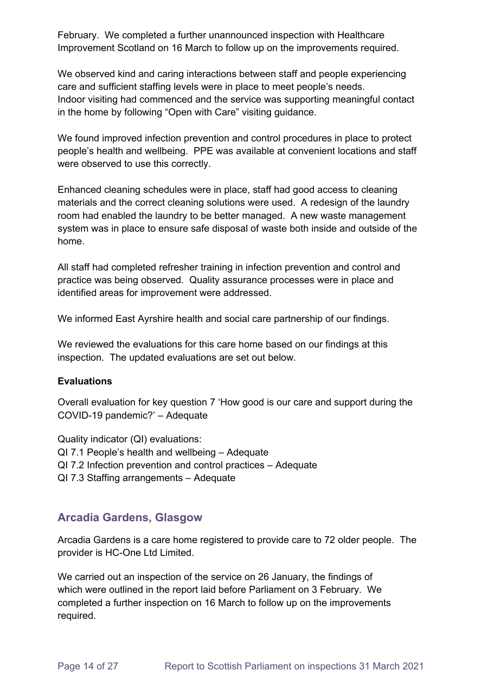February. We completed a further unannounced inspection with Healthcare Improvement Scotland on 16 March to follow up on the improvements required.

We observed kind and caring interactions between staff and people experiencing care and sufficient staffing levels were in place to meet people's needs. Indoor visiting had commenced and the service was supporting meaningful contact in the home by following "Open with Care" visiting guidance.

We found improved infection prevention and control procedures in place to protect people's health and wellbeing. PPE was available at convenient locations and staff were observed to use this correctly.

Enhanced cleaning schedules were in place, staff had good access to cleaning materials and the correct cleaning solutions were used. A redesign of the laundry room had enabled the laundry to be better managed. A new waste management system was in place to ensure safe disposal of waste both inside and outside of the home.

All staff had completed refresher training in infection prevention and control and practice was being observed. Quality assurance processes were in place and identified areas for improvement were addressed.

We informed East Ayrshire health and social care partnership of our findings.

We reviewed the evaluations for this care home based on our findings at this inspection. The updated evaluations are set out below.

#### **Evaluations**

Overall evaluation for key question 7 'How good is our care and support during the COVID-19 pandemic?' – Adequate

Quality indicator (QI) evaluations: QI 7.1 People's health and wellbeing – Adequate QI 7.2 Infection prevention and control practices – Adequate QI 7.3 Staffing arrangements – Adequate

### **Arcadia Gardens, Glasgow**

Arcadia Gardens is a care home registered to provide care to 72 older people. The provider is HC-One Ltd Limited.

We carried out an inspection of the service on 26 January, the findings of which were outlined in the report laid before Parliament on 3 February. We completed a further inspection on 16 March to follow up on the improvements required.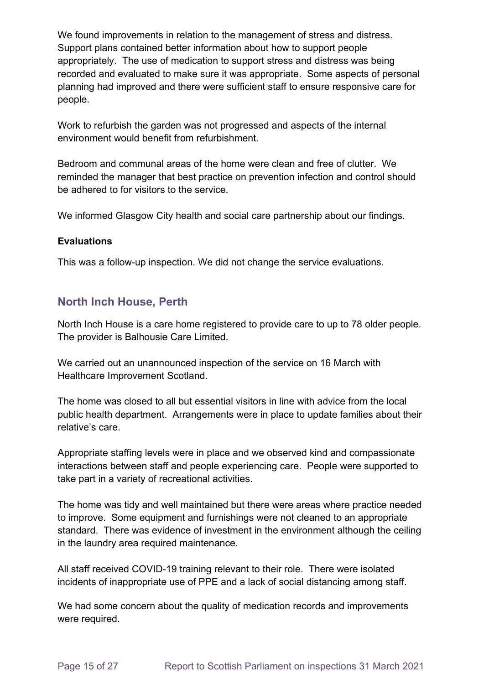We found improvements in relation to the management of stress and distress. Support plans contained better information about how to support people appropriately. The use of medication to support stress and distress was being recorded and evaluated to make sure it was appropriate. Some aspects of personal planning had improved and there were sufficient staff to ensure responsive care for people.

Work to refurbish the garden was not progressed and aspects of the internal environment would benefit from refurbishment.

Bedroom and communal areas of the home were clean and free of clutter. We reminded the manager that best practice on prevention infection and control should be adhered to for visitors to the service.

We informed Glasgow City health and social care partnership about our findings.

#### **Evaluations**

This was a follow-up inspection. We did not change the service evaluations.

### **North Inch House, Perth**

North Inch House is a care home registered to provide care to up to 78 older people. The provider is Balhousie Care Limited.

We carried out an unannounced inspection of the service on 16 March with Healthcare Improvement Scotland.

The home was closed to all but essential visitors in line with advice from the local public health department. Arrangements were in place to update families about their relative's care.

Appropriate staffing levels were in place and we observed kind and compassionate interactions between staff and people experiencing care. People were supported to take part in a variety of recreational activities.

The home was tidy and well maintained but there were areas where practice needed to improve. Some equipment and furnishings were not cleaned to an appropriate standard. There was evidence of investment in the environment although the ceiling in the laundry area required maintenance.

All staff received COVID-19 training relevant to their role. There were isolated incidents of inappropriate use of PPE and a lack of social distancing among staff.

We had some concern about the quality of medication records and improvements were required.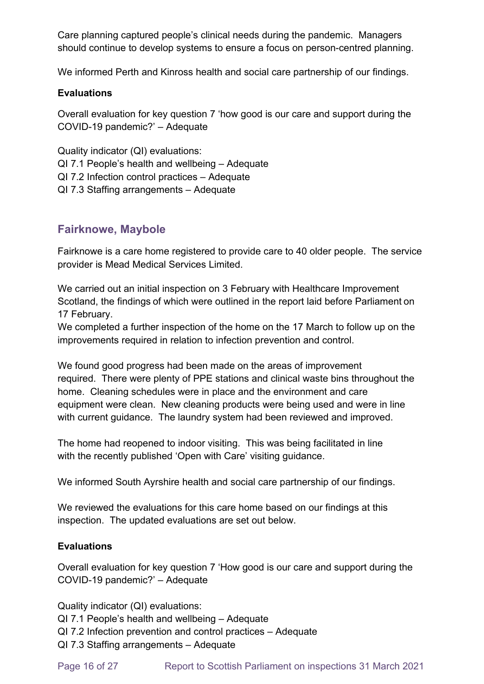Care planning captured people's clinical needs during the pandemic. Managers should continue to develop systems to ensure a focus on person-centred planning.

We informed Perth and Kinross health and social care partnership of our findings.

#### **Evaluations**

Overall evaluation for key question 7 'how good is our care and support during the COVID-19 pandemic?' – Adequate

Quality indicator (QI) evaluations:

- QI 7.1 People's health and wellbeing Adequate
- QI 7.2 Infection control practices Adequate
- QI 7.3 Staffing arrangements Adequate

### **Fairknowe, Maybole**

Fairknowe is a care home registered to provide care to 40 older people. The service provider is Mead Medical Services Limited.

We carried out an initial inspection on 3 February with Healthcare Improvement Scotland, the findings of which were outlined in the report laid before Parliament on 17 February.

We completed a further inspection of the home on the 17 March to follow up on the improvements required in relation to infection prevention and control.

We found good progress had been made on the areas of improvement required. There were plenty of PPE stations and clinical waste bins throughout the home. Cleaning schedules were in place and the environment and care equipment were clean. New cleaning products were being used and were in line with current guidance. The laundry system had been reviewed and improved.

The home had reopened to indoor visiting. This was being facilitated in line with the recently published 'Open with Care' visiting guidance.

We informed South Ayrshire health and social care partnership of our findings.

We reviewed the evaluations for this care home based on our findings at this inspection. The updated evaluations are set out below.

#### **Evaluations**

Overall evaluation for key question 7 'How good is our care and support during the COVID-19 pandemic?' – Adequate

Quality indicator (QI) evaluations:

QI 7.1 People's health and wellbeing – Adequate

- QI 7.2 Infection prevention and control practices Adequate
- QI 7.3 Staffing arrangements Adequate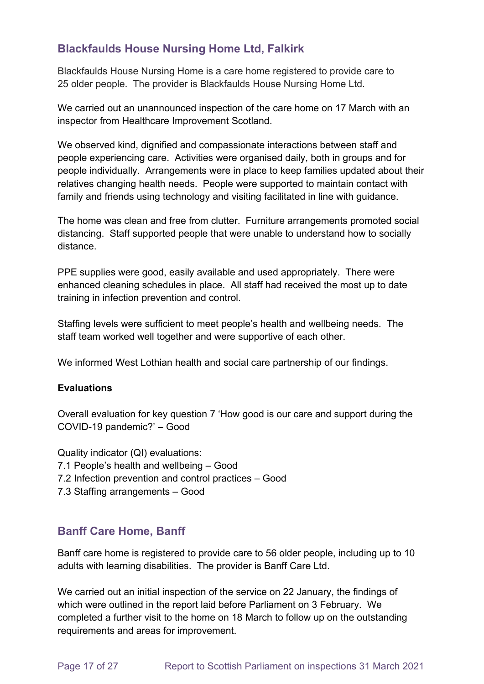# **Blackfaulds House Nursing Home Ltd, Falkirk**

Blackfaulds House Nursing Home is a care home registered to provide care to 25 older people. The provider is Blackfaulds House Nursing Home Ltd.

We carried out an unannounced inspection of the care home on 17 March with an inspector from Healthcare Improvement Scotland.

We observed kind, dignified and compassionate interactions between staff and people experiencing care. Activities were organised daily, both in groups and for people individually. Arrangements were in place to keep families updated about their relatives changing health needs. People were supported to maintain contact with family and friends using technology and visiting facilitated in line with guidance.

The home was clean and free from clutter. Furniture arrangements promoted social distancing. Staff supported people that were unable to understand how to socially distance.

PPE supplies were good, easily available and used appropriately. There were enhanced cleaning schedules in place. All staff had received the most up to date training in infection prevention and control.

Staffing levels were sufficient to meet people's health and wellbeing needs. The staff team worked well together and were supportive of each other.

We informed West Lothian health and social care partnership of our findings.

#### **Evaluations**

Overall evaluation for key question 7 'How good is our care and support during the COVID-19 pandemic?' – Good

Quality indicator (QI) evaluations: 7.1 People's health and wellbeing – Good 7.2 Infection prevention and control practices – Good 7.3 Staffing arrangements – Good

### **Banff Care Home, Banff**

Banff care home is registered to provide care to 56 older people, including up to 10 adults with learning disabilities. The provider is Banff Care Ltd.

We carried out an initial inspection of the service on 22 January, the findings of which were outlined in the report laid before Parliament on 3 February. We completed a further visit to the home on 18 March to follow up on the outstanding requirements and areas for improvement.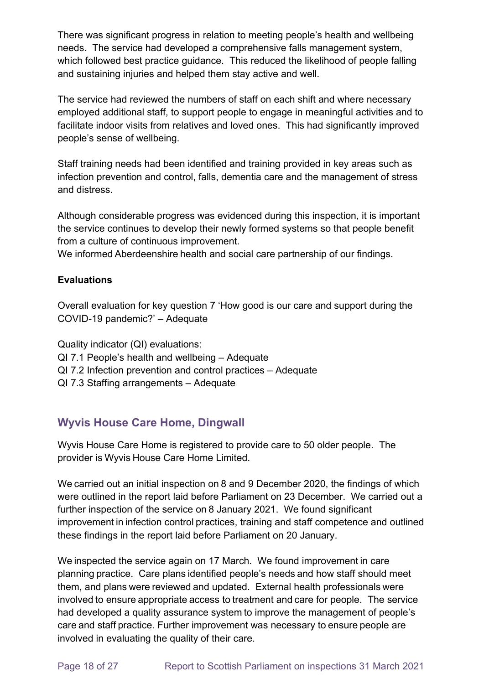There was significant progress in relation to meeting people's health and wellbeing needs. The service had developed a comprehensive falls management system, which followed best practice guidance. This reduced the likelihood of people falling and sustaining injuries and helped them stay active and well.

The service had reviewed the numbers of staff on each shift and where necessary employed additional staff, to support people to engage in meaningful activities and to facilitate indoor visits from relatives and loved ones. This had significantly improved people's sense of wellbeing.

Staff training needs had been identified and training provided in key areas such as infection prevention and control, falls, dementia care and the management of stress and distress.

Although considerable progress was evidenced during this inspection, it is important the service continues to develop their newly formed systems so that people benefit from a culture of continuous improvement.

We informed Aberdeenshire health and social care partnership of our findings.

### **Evaluations**

Overall evaluation for key question 7 'How good is our care and support during the COVID-19 pandemic?' – Adequate

Quality indicator (QI) evaluations: QI 7.1 People's health and wellbeing – Adequate QI 7.2 Infection prevention and control practices – Adequate QI 7.3 Staffing arrangements – Adequate

# **Wyvis House Care Home, Dingwall**

Wyvis House Care Home is registered to provide care to 50 older people. The provider is Wyvis House Care Home Limited.

We carried out an initial inspection on 8 and 9 December 2020, the findings of which were outlined in the report laid before Parliament on 23 December. We carried out a further inspection of the service on 8 January 2021. We found significant improvement in infection control practices, training and staff competence and outlined these findings in the report laid before Parliament on 20 January.

We inspected the service again on 17 March. We found improvement in care planning practice. Care plans identified people's needs and how staff should meet them, and plans were reviewed and updated. External health professionals were involved to ensure appropriate access to treatment and care for people. The service had developed a quality assurance system to improve the management of people's care and staff practice. Further improvement was necessary to ensure people are involved in evaluating the quality of their care.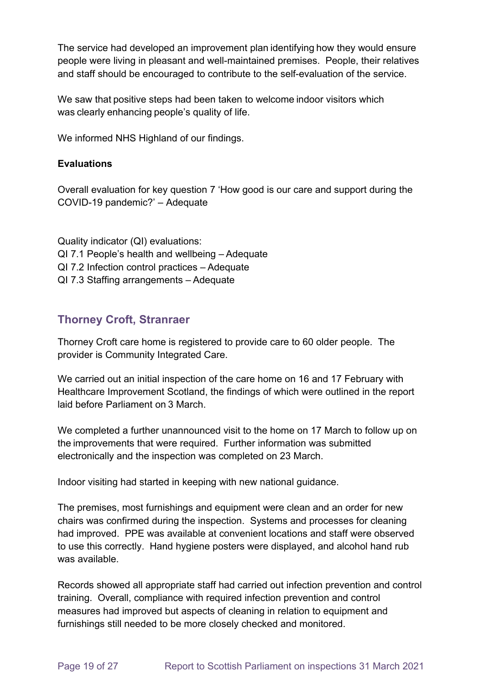The service had developed an improvement plan identifying how they would ensure people were living in pleasant and well-maintained premises. People, their relatives and staff should be encouraged to contribute to the self-evaluation of the service.

We saw that positive steps had been taken to welcome indoor visitors which was clearly enhancing people's quality of life.

We informed NHS Highland of our findings.

#### **Evaluations**

Overall evaluation for key question 7 'How good is our care and support during the COVID-19 pandemic?' – Adequate

Quality indicator (QI) evaluations: QI 7.1 People's health and wellbeing – Adequate QI 7.2 Infection control practices – Adequate QI 7.3 Staffing arrangements – Adequate

### **Thorney Croft, Stranraer**

Thorney Croft care home is registered to provide care to 60 older people. The provider is Community Integrated Care.

We carried out an initial inspection of the care home on 16 and 17 February with Healthcare Improvement Scotland, the findings of which were outlined in the report laid before Parliament on 3 March.

We completed a further unannounced visit to the home on 17 March to follow up on the improvements that were required. Further information was submitted electronically and the inspection was completed on 23 March.

Indoor visiting had started in keeping with new national guidance.

The premises, most furnishings and equipment were clean and an order for new chairs was confirmed during the inspection. Systems and processes for cleaning had improved. PPE was available at convenient locations and staff were observed to use this correctly. Hand hygiene posters were displayed, and alcohol hand rub was available.

Records showed all appropriate staff had carried out infection prevention and control training. Overall, compliance with required infection prevention and control measures had improved but aspects of cleaning in relation to equipment and furnishings still needed to be more closely checked and monitored.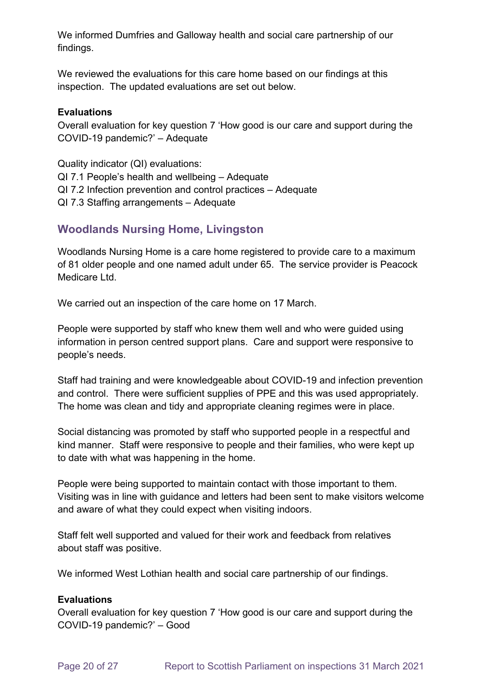We informed Dumfries and Galloway health and social care partnership of our findings.

We reviewed the evaluations for this care home based on our findings at this inspection. The updated evaluations are set out below.

#### **Evaluations**

Overall evaluation for key question 7 'How good is our care and support during the COVID-19 pandemic?' – Adequate

Quality indicator (QI) evaluations: QI 7.1 People's health and wellbeing – Adequate QI 7.2 Infection prevention and control practices – Adequate QI 7.3 Staffing arrangements – Adequate

### **Woodlands Nursing Home, Livingston**

Woodlands Nursing Home is a care home registered to provide care to a maximum of 81 older people and one named adult under 65. The service provider is Peacock Medicare Ltd.

We carried out an inspection of the care home on 17 March.

People were supported by staff who knew them well and who were guided using information in person centred support plans. Care and support were responsive to people's needs.

Staff had training and were knowledgeable about COVID-19 and infection prevention and control. There were sufficient supplies of PPE and this was used appropriately. The home was clean and tidy and appropriate cleaning regimes were in place.

Social distancing was promoted by staff who supported people in a respectful and kind manner. Staff were responsive to people and their families, who were kept up to date with what was happening in the home.

People were being supported to maintain contact with those important to them. Visiting was in line with guidance and letters had been sent to make visitors welcome and aware of what they could expect when visiting indoors.

Staff felt well supported and valued for their work and feedback from relatives about staff was positive.

We informed West Lothian health and social care partnership of our findings.

#### **Evaluations**

Overall evaluation for key question 7 'How good is our care and support during the COVID-19 pandemic?' – Good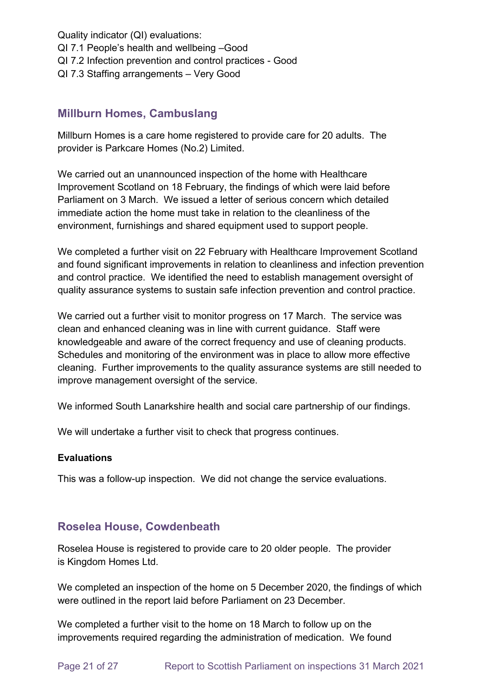Quality indicator (QI) evaluations: QI 7.1 People's health and wellbeing –Good QI 7.2 Infection prevention and control practices - Good QI 7.3 Staffing arrangements – Very Good

### **Millburn Homes, Cambuslang**

Millburn Homes is a care home registered to provide care for 20 adults. The provider is Parkcare Homes (No.2) Limited.

We carried out an unannounced inspection of the home with Healthcare Improvement Scotland on 18 February, the findings of which were laid before Parliament on 3 March. We issued a letter of serious concern which detailed immediate action the home must take in relation to the cleanliness of the environment, furnishings and shared equipment used to support people.

We completed a further visit on 22 February with Healthcare Improvement Scotland and found significant improvements in relation to cleanliness and infection prevention and control practice. We identified the need to establish management oversight of quality assurance systems to sustain safe infection prevention and control practice.

We carried out a further visit to monitor progress on 17 March. The service was clean and enhanced cleaning was in line with current guidance. Staff were knowledgeable and aware of the correct frequency and use of cleaning products. Schedules and monitoring of the environment was in place to allow more effective cleaning. Further improvements to the quality assurance systems are still needed to improve management oversight of the service.

We informed South Lanarkshire health and social care partnership of our findings.

We will undertake a further visit to check that progress continues.

#### **Evaluations**

This was a follow-up inspection. We did not change the service evaluations.

### **Roselea House, Cowdenbeath**

Roselea House is registered to provide care to 20 older people. The provider is Kingdom Homes Ltd.

We completed an inspection of the home on 5 December 2020, the findings of which were outlined in the report laid before Parliament on 23 December.

We completed a further visit to the home on 18 March to follow up on the improvements required regarding the administration of medication. We found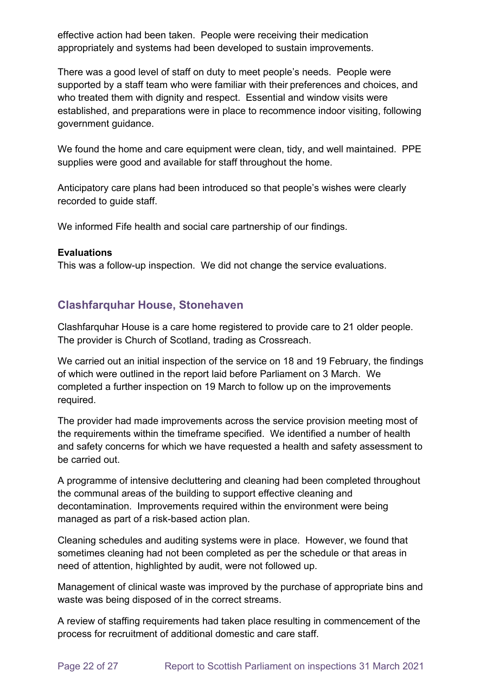effective action had been taken. People were receiving their medication appropriately and systems had been developed to sustain improvements.

There was a good level of staff on duty to meet people's needs. People were supported by a staff team who were familiar with their preferences and choices, and who treated them with dignity and respect. Essential and window visits were established, and preparations were in place to recommence indoor visiting, following government guidance.

We found the home and care equipment were clean, tidy, and well maintained. PPE supplies were good and available for staff throughout the home.

Anticipatory care plans had been introduced so that people's wishes were clearly recorded to guide staff.

We informed Fife health and social care partnership of our findings.

#### **Evaluations**

This was a follow-up inspection. We did not change the service evaluations.

# **Clashfarquhar House, Stonehaven**

Clashfarquhar House is a care home registered to provide care to 21 older people. The provider is Church of Scotland, trading as Crossreach.

We carried out an initial inspection of the service on 18 and 19 February, the findings of which were outlined in the report laid before Parliament on 3 March. We completed a further inspection on 19 March to follow up on the improvements required.

The provider had made improvements across the service provision meeting most of the requirements within the timeframe specified. We identified a number of health and safety concerns for which we have requested a health and safety assessment to be carried out.

A programme of intensive decluttering and cleaning had been completed throughout the communal areas of the building to support effective cleaning and decontamination. Improvements required within the environment were being managed as part of a risk-based action plan.

Cleaning schedules and auditing systems were in place. However, we found that sometimes cleaning had not been completed as per the schedule or that areas in need of attention, highlighted by audit, were not followed up.

Management of clinical waste was improved by the purchase of appropriate bins and waste was being disposed of in the correct streams.

A review of staffing requirements had taken place resulting in commencement of the process for recruitment of additional domestic and care staff.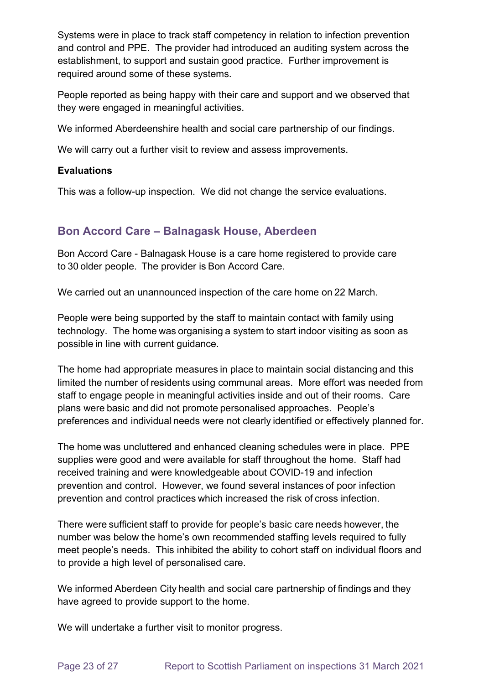Systems were in place to track staff competency in relation to infection prevention and control and PPE. The provider had introduced an auditing system across the establishment, to support and sustain good practice. Further improvement is required around some of these systems.

People reported as being happy with their care and support and we observed that they were engaged in meaningful activities.

We informed Aberdeenshire health and social care partnership of our findings.

We will carry out a further visit to review and assess improvements.

#### **Evaluations**

This was a follow-up inspection. We did not change the service evaluations.

### **Bon Accord Care – Balnagask House, Aberdeen**

Bon Accord Care - Balnagask House is a care home registered to provide care to 30 older people.  The provider is Bon Accord Care.

We carried out an unannounced inspection of the care home on 22 March.

People were being supported by the staff to maintain contact with family using technology. The home was organising a system to start indoor visiting as soon as possible in line with current guidance.

The home had appropriate measures in place to maintain social distancing and this limited the number of residents using communal areas. More effort was needed from staff to engage people in meaningful activities inside and out of their rooms. Care plans were basic and did not promote personalised approaches. People's preferences and individual needs were not clearly identified or effectively planned for.

The home was uncluttered and enhanced cleaning schedules were in place. PPE supplies were good and were available for staff throughout the home. Staff had received training and were knowledgeable about COVID-19 and infection prevention and control. However, we found several instances of poor infection prevention and control practices which increased the risk of cross infection.

There were sufficient staff to provide for people's basic care needs however, the number was below the home's own recommended staffing levels required to fully meet people's needs. This inhibited the ability to cohort staff on individual floors and to provide a high level of personalised care.

We informed Aberdeen City health and social care partnership of findings and they have agreed to provide support to the home.

We will undertake a further visit to monitor progress.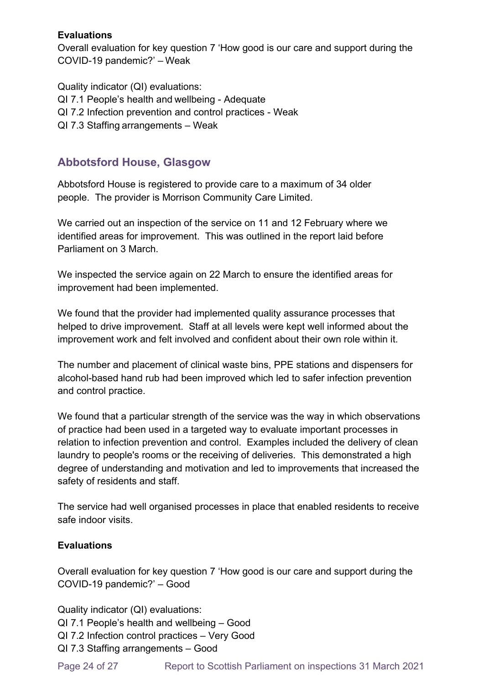#### **Evaluations**

Overall evaluation for key question 7 'How good is our care and support during the COVID-19 pandemic?' – Weak

Quality indicator (QI) evaluations: QI 7.1 People's health and wellbeing - Adequate QI 7.2 Infection prevention and control practices - Weak QI 7.3 Staffing arrangements – Weak

# **Abbotsford House, Glasgow**

Abbotsford House is registered to provide care to a maximum of 34 older people. The provider is Morrison Community Care Limited.

We carried out an inspection of the service on 11 and 12 February where we identified areas for improvement. This was outlined in the report laid before Parliament on 3 March.

We inspected the service again on 22 March to ensure the identified areas for improvement had been implemented.

We found that the provider had implemented quality assurance processes that helped to drive improvement. Staff at all levels were kept well informed about the improvement work and felt involved and confident about their own role within it.

The number and placement of clinical waste bins, PPE stations and dispensers for alcohol-based hand rub had been improved which led to safer infection prevention and control practice.

We found that a particular strength of the service was the way in which observations of practice had been used in a targeted way to evaluate important processes in relation to infection prevention and control. Examples included the delivery of clean laundry to people's rooms or the receiving of deliveries. This demonstrated a high degree of understanding and motivation and led to improvements that increased the safety of residents and staff.

The service had well organised processes in place that enabled residents to receive safe indoor visits.

#### **Evaluations**

Overall evaluation for key question 7 'How good is our care and support during the COVID-19 pandemic?' – Good

Quality indicator (QI) evaluations: QI 7.1 People's health and wellbeing – Good QI 7.2 Infection control practices – Very Good QI 7.3 Staffing arrangements – Good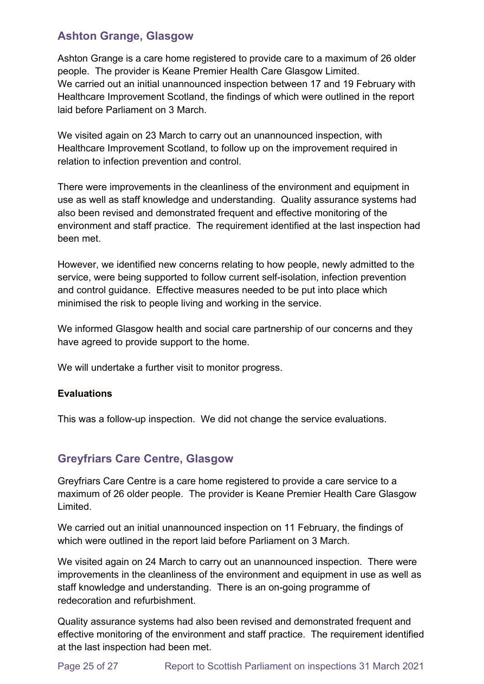### **Ashton Grange, Glasgow**

Ashton Grange is a care home registered to provide care to a maximum of 26 older people. The provider is Keane Premier Health Care Glasgow Limited. We carried out an initial unannounced inspection between 17 and 19 February with Healthcare Improvement Scotland, the findings of which were outlined in the report laid before Parliament on 3 March.

We visited again on 23 March to carry out an unannounced inspection, with Healthcare Improvement Scotland, to follow up on the improvement required in relation to infection prevention and control.

There were improvements in the cleanliness of the environment and equipment in use as well as staff knowledge and understanding. Quality assurance systems had also been revised and demonstrated frequent and effective monitoring of the environment and staff practice. The requirement identified at the last inspection had been met.

However, we identified new concerns relating to how people, newly admitted to the service, were being supported to follow current self-isolation, infection prevention and control guidance. Effective measures needed to be put into place which minimised the risk to people living and working in the service.

We informed Glasgow health and social care partnership of our concerns and they have agreed to provide support to the home.

We will undertake a further visit to monitor progress.

#### **Evaluations**

This was a follow-up inspection. We did not change the service evaluations.

### **Greyfriars Care Centre, Glasgow**

Greyfriars Care Centre is a care home registered to provide a care service to a maximum of 26 older people. The provider is Keane Premier Health Care Glasgow Limited.

We carried out an initial unannounced inspection on 11 February, the findings of which were outlined in the report laid before Parliament on 3 March.

We visited again on 24 March to carry out an unannounced inspection. There were improvements in the cleanliness of the environment and equipment in use as well as staff knowledge and understanding. There is an on-going programme of redecoration and refurbishment.

Quality assurance systems had also been revised and demonstrated frequent and effective monitoring of the environment and staff practice. The requirement identified at the last inspection had been met.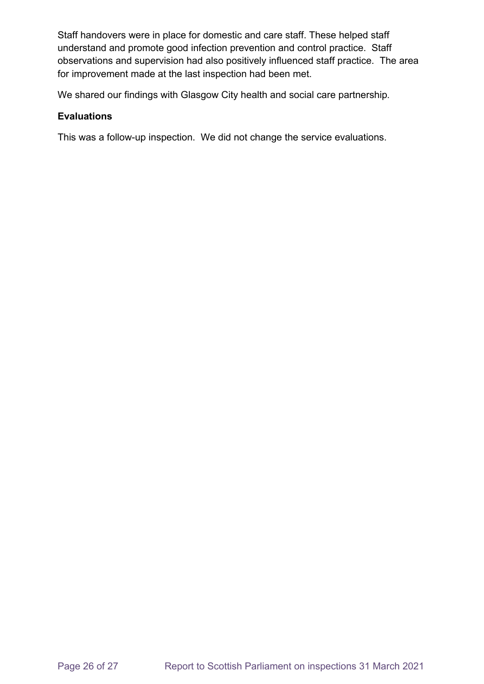Staff handovers were in place for domestic and care staff. These helped staff understand and promote good infection prevention and control practice. Staff observations and supervision had also positively influenced staff practice. The area for improvement made at the last inspection had been met.

We shared our findings with Glasgow City health and social care partnership.

#### **Evaluations**

This was a follow-up inspection. We did not change the service evaluations.